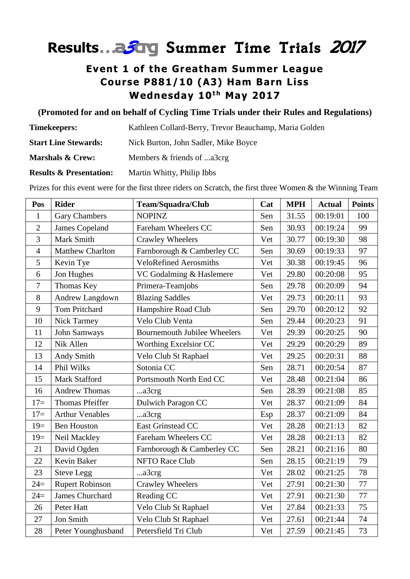# **Results**…a*3*crg *Summer Time Trials <sup>2017</sup>*

## **Event 1 of the Greatham Summer League Course P881/10 (A3) Ham Barn Liss Wednesday 10<sup>th</sup> May 2017**

### **(Promoted for and on behalf of Cycling Time Trials under their Rules and Regulations)**

| <b>Timekeepers:</b>                | Kathleen Collard-Berry, Trevor Beauchamp, Maria Golden |  |
|------------------------------------|--------------------------------------------------------|--|
| <b>Start Line Stewards:</b>        | Nick Burton, John Sadler, Mike Boyce                   |  |
| <b>Marshals &amp; Crew:</b>        | Members & friends of a3crg                             |  |
| <b>Results &amp; Presentation:</b> | Martin Whitty, Philip Ibbs                             |  |

Prizes for this event were for the first three riders on Scratch, the first three Women & the Winning Team

| Pos            | <b>Rider</b>            | Team/Squadra/Club                   | Cat | <b>MPH</b> | <b>Actual</b> | <b>Points</b> |
|----------------|-------------------------|-------------------------------------|-----|------------|---------------|---------------|
| $\mathbf{1}$   | <b>Gary Chambers</b>    | <b>NOPINZ</b>                       | Sen | 31.55      | 00:19:01      | 100           |
| $\overline{2}$ | James Copeland          | Fareham Wheelers CC                 | Sen | 30.93      | 00:19:24      | 99            |
| 3              | Mark Smith              | <b>Crawley Wheelers</b>             | Vet | 30.77      | 00:19:30      | 98            |
| $\overline{4}$ | <b>Matthew Charlton</b> | Farnborough & Camberley CC          | Sen | 30.69      | 00:19:33      | 97            |
| 5              | Kevin Tye               | <b>VeloRefined Aerosmiths</b>       | Vet | 30.38      | 00:19:45      | 96            |
| 6              | Jon Hughes              | VC Godalming & Haslemere            | Vet | 29.80      | 00:20:08      | 95            |
| 7              | Thomas Key              | Primera-Teamjobs                    | Sen | 29.78      | 00:20:09      | 94            |
| 8              | Andrew Langdown         | <b>Blazing Saddles</b>              | Vet | 29.73      | 00:20:11      | 93            |
| 9              | <b>Tom Pritchard</b>    | Hampshire Road Club                 | Sen | 29.70      | 00:20:12      | 92            |
| 10             | Nick Tarmey             | Velo Club Venta                     | Sen | 29.44      | 00:20:23      | 91            |
| 11             | John Samways            | <b>Bournemouth Jubilee Wheelers</b> | Vet | 29.39      | 00:20:25      | 90            |
| 12             | Nik Allen               | Worthing Excelsior CC               | Vet | 29.29      | 00:20:29      | 89            |
| 13             | Andy Smith              | Velo Club St Raphael                | Vet | 29.25      | 00:20:31      | 88            |
| 14             | Phil Wilks              | Sotonia CC                          | Sen | 28.71      | 00:20:54      | 87            |
| 15             | Mark Stafford           | Portsmouth North End CC             | Vet | 28.48      | 00:21:04      | 86            |
| 16             | <b>Andrew Thomas</b>    | a3crg                               | Sen | 28.39      | 00:21:08      | 85            |
| $17=$          | Thomas Pfeiffer         | Dulwich Paragon CC                  | Vet | 28.37      | 00:21:09      | 84            |
| $17=$          | <b>Arthur Venables</b>  | a3crg                               | Esp | 28.37      | 00:21:09      | 84            |
| $19=$          | <b>Ben Houston</b>      | East Grinstead CC                   | Vet | 28.28      | 00:21:13      | 82            |
| $19=$          | Neil Mackley            | Fareham Wheelers CC                 | Vet | 28.28      | 00:21:13      | 82            |
| 21             | David Ogden             | Farnborough & Camberley CC          | Sen | 28.21      | 00:21:16      | 80            |
| 22             | Kevin Baker             | <b>NFTO Race Club</b>               | Sen | 28.15      | 00:21:19      | 79            |
| 23             | <b>Steve Legg</b>       | a3crg                               | Vet | 28.02      | 00:21:25      | 78            |
| $24=$          | <b>Rupert Robinson</b>  | <b>Crawley Wheelers</b>             | Vet | 27.91      | 00:21:30      | 77            |
| $24=$          | <b>James Churchard</b>  | Reading CC                          | Vet | 27.91      | 00:21:30      | 77            |
| 26             | Peter Hatt              | Velo Club St Raphael                | Vet | 27.84      | 00:21:33      | 75            |
| 27             | Jon Smith               | Velo Club St Raphael                | Vet | 27.61      | 00:21:44      | 74            |
| 28             | Peter Younghusband      | Petersfield Tri Club                | Vet | 27.59      | 00:21:45      | 73            |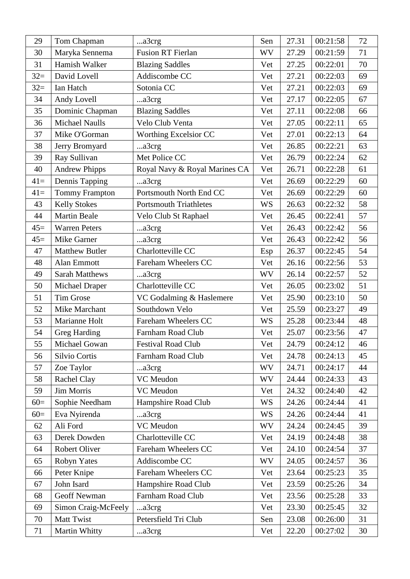| 29    | Tom Chapman           | a3crg                         | Sen       | 27.31 | 00:21:58 | 72 |
|-------|-----------------------|-------------------------------|-----------|-------|----------|----|
| 30    | Maryka Sennema        | <b>Fusion RT Fierlan</b>      | <b>WV</b> | 27.29 | 00:21:59 | 71 |
| 31    | Hamish Walker         | <b>Blazing Saddles</b>        | Vet       | 27.25 | 00:22:01 | 70 |
| $32=$ | David Lovell          | Addiscombe CC                 | Vet       | 27.21 | 00:22:03 | 69 |
| $32=$ | Ian Hatch             | Sotonia CC                    | Vet       | 27.21 | 00:22:03 | 69 |
| 34    | Andy Lovell           | a3crg                         | Vet       | 27.17 | 00:22:05 | 67 |
| 35    | Dominic Chapman       | <b>Blazing Saddles</b>        | Vet       | 27.11 | 00:22:08 | 66 |
| 36    | <b>Michael Naulls</b> | Velo Club Venta               | Vet       | 27.05 | 00:22:11 | 65 |
| 37    | Mike O'Gorman         | Worthing Excelsior CC         | Vet       | 27.01 | 00:22:13 | 64 |
| 38    | Jerry Bromyard        | a3crg                         | Vet       | 26.85 | 00:22:21 | 63 |
| 39    | Ray Sullivan          | Met Police CC                 | Vet       | 26.79 | 00:22:24 | 62 |
| 40    | <b>Andrew Phipps</b>  | Royal Navy & Royal Marines CA | Vet       | 26.71 | 00:22:28 | 61 |
| $41=$ | Dennis Tapping        | a3crg                         | Vet       | 26.69 | 00:22:29 | 60 |
| $41=$ | <b>Tommy Frampton</b> | Portsmouth North End CC       | Vet       | 26.69 | 00:22:29 | 60 |
| 43    | <b>Kelly Stokes</b>   | <b>Portsmouth Triathletes</b> | <b>WS</b> | 26.63 | 00:22:32 | 58 |
| 44    | <b>Martin Beale</b>   | Velo Club St Raphael          | Vet       | 26.45 | 00:22:41 | 57 |
| $45=$ | <b>Warren Peters</b>  | a3crg                         | Vet       | 26.43 | 00:22:42 | 56 |
| $45=$ | Mike Garner           | a3crg                         | Vet       | 26.43 | 00:22:42 | 56 |
| 47    | <b>Matthew Butler</b> | Charlotteville CC             | Esp       | 26.37 | 00:22:45 | 54 |
| 48    | Alan Emmott           | Fareham Wheelers CC           | Vet       | 26.16 | 00:22:56 | 53 |
| 49    | <b>Sarah Matthews</b> | a3crg                         | <b>WV</b> | 26.14 | 00:22:57 | 52 |
| 50    | <b>Michael Draper</b> | Charlotteville CC             | Vet       | 26.05 | 00:23:02 | 51 |
| 51    | Tim Grose             | VC Godalming & Haslemere      | Vet       | 25.90 | 00:23:10 | 50 |
| 52    | Mike Marchant         | Southdown Velo                | Vet       | 25.59 | 00:23:27 | 49 |
| 53    | Marianne Holt         | Fareham Wheelers CC           | <b>WS</b> | 25.28 | 00:23:44 | 48 |
| 54    | <b>Greg Harding</b>   | Farnham Road Club             | Vet       | 25.07 | 00:23:56 | 47 |
| 55    | Michael Gowan         | <b>Festival Road Club</b>     | Vet       | 24.79 | 00:24:12 | 46 |
| 56    | Silvio Cortis         | Farnham Road Club             | Vet       | 24.78 | 00:24:13 | 45 |
| 57    | Zoe Taylor            | a3crg                         | <b>WV</b> | 24.71 | 00:24:17 | 44 |
| 58    | Rachel Clay           | VC Meudon                     | <b>WV</b> | 24.44 | 00:24:33 | 43 |
| 59    | <b>Jim Morris</b>     | VC Meudon                     | Vet       | 24.32 | 00:24:40 | 42 |
| $60=$ | Sophie Needham        | Hampshire Road Club           | <b>WS</b> | 24.26 | 00:24:44 | 41 |
| $60=$ | Eva Nyirenda          | a3crg                         | <b>WS</b> | 24.26 | 00:24:44 | 41 |
| 62    | Ali Ford              | VC Meudon                     | WV        | 24.24 | 00:24:45 | 39 |
| 63    | Derek Dowden          | Charlotteville CC             | Vet       | 24.19 | 00:24:48 | 38 |
| 64    | Robert Oliver         | Fareham Wheelers CC           | Vet       | 24.10 | 00:24:54 | 37 |
| 65    | Robyn Yates           | Addiscombe CC                 | <b>WV</b> | 24.05 | 00:24:57 | 36 |
| 66    | Peter Knipe           | Fareham Wheelers CC           | Vet       | 23.64 | 00:25:23 | 35 |
| 67    | John Isard            | Hampshire Road Club           | Vet       | 23.59 | 00:25:26 | 34 |
| 68    | <b>Geoff Newman</b>   | Farnham Road Club             | Vet       | 23.56 | 00:25:28 | 33 |
| 69    | Simon Craig-McFeely   | a3crg                         | Vet       | 23.30 | 00:25:45 | 32 |
| 70    | Matt Twist            | Petersfield Tri Club          | Sen       | 23.08 | 00:26:00 | 31 |
| 71    | Martin Whitty         | a3crg                         | Vet       | 22.20 | 00:27:02 | 30 |